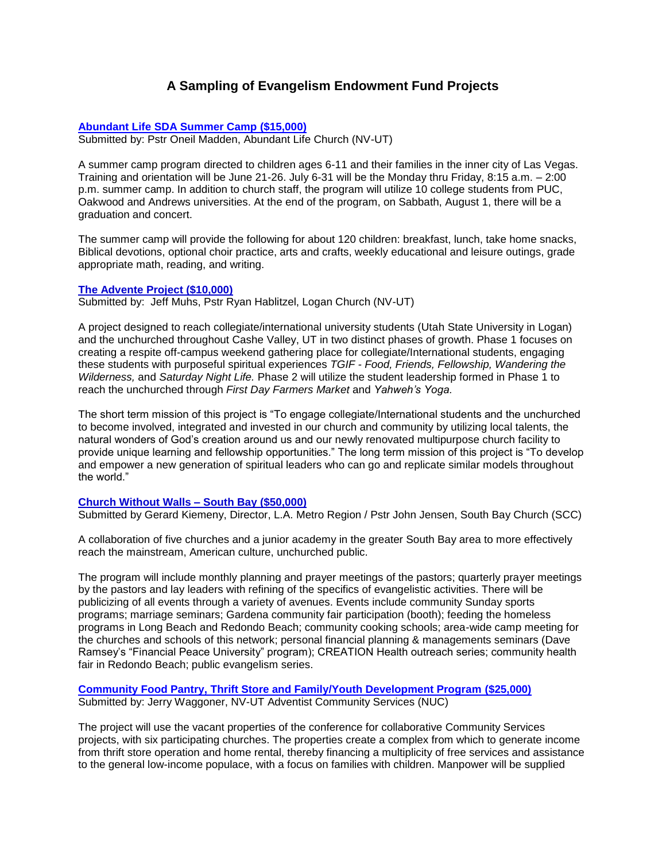# **A Sampling of Evangelism Endowment Fund Projects**

# **Abundant Life SDA Summer Camp (\$15,000)**

Submitted by: Pstr Oneil Madden, Abundant Life Church (NV-UT)

A summer camp program directed to children ages 6-11 and their families in the inner city of Las Vegas. Training and orientation will be June 21-26. July 6-31 will be the Monday thru Friday, 8:15 a.m. – 2:00 p.m. summer camp. In addition to church staff, the program will utilize 10 college students from PUC, Oakwood and Andrews universities. At the end of the program, on Sabbath, August 1, there will be a graduation and concert.

The summer camp will provide the following for about 120 children: breakfast, lunch, take home snacks, Biblical devotions, optional choir practice, arts and crafts, weekly educational and leisure outings, grade appropriate math, reading, and writing.

# **The Advente Project (\$10,000)**

Submitted by: Jeff Muhs, Pstr Ryan Hablitzel, Logan Church (NV-UT)

A project designed to reach collegiate/international university students (Utah State University in Logan) and the unchurched throughout Cashe Valley, UT in two distinct phases of growth. Phase 1 focuses on creating a respite off-campus weekend gathering place for collegiate/International students, engaging these students with purposeful spiritual experiences *TGIF - Food, Friends, Fellowship, Wandering the Wilderness,* and *Saturday Night Life.* Phase 2 will utilize the student leadership formed in Phase 1 to reach the unchurched through *First Day Farmers Market* and *Yahweh's Yoga.* 

The short term mission of this project is "To engage collegiate/International students and the unchurched to become involved, integrated and invested in our church and community by utilizing local talents, the natural wonders of God's creation around us and our newly renovated multipurpose church facility to provide unique learning and fellowship opportunities." The long term mission of this project is "To develop and empower a new generation of spiritual leaders who can go and replicate similar models throughout the world."

# **Church Without Walls – South Bay (\$50,000)**

Submitted by Gerard Kiemeny, Director, L.A. Metro Region / Pstr John Jensen, South Bay Church (SCC)

A collaboration of five churches and a junior academy in the greater South Bay area to more effectively reach the mainstream, American culture, unchurched public.

The program will include monthly planning and prayer meetings of the pastors; quarterly prayer meetings by the pastors and lay leaders with refining of the specifics of evangelistic activities. There will be publicizing of all events through a variety of avenues. Events include community Sunday sports programs; marriage seminars; Gardena community fair participation (booth); feeding the homeless programs in Long Beach and Redondo Beach; community cooking schools; area-wide camp meeting for the churches and schools of this network; personal financial planning & managements seminars (Dave Ramsey's "Financial Peace University" program); CREATION Health outreach series; community health fair in Redondo Beach; public evangelism series.

**Community Food Pantry, Thrift Store and Family/Youth Development Program (\$25,000)** Submitted by: Jerry Waggoner, NV-UT Adventist Community Services (NUC)

The project will use the vacant properties of the conference for collaborative Community Services projects, with six participating churches. The properties create a complex from which to generate income from thrift store operation and home rental, thereby financing a multiplicity of free services and assistance to the general low-income populace, with a focus on families with children. Manpower will be supplied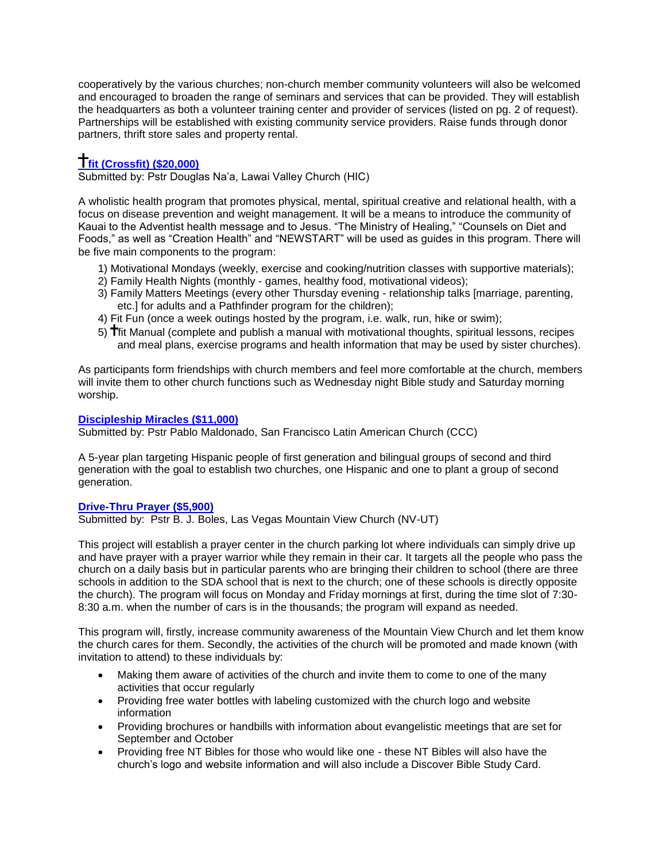cooperatively by the various churches; non-church member community volunteers will also be welcomed and encouraged to broaden the range of seminars and services that can be provided. They will establish the headquarters as both a volunteer training center and provider of services (listed on pg. 2 of request). Partnerships will be established with existing community service providers. Raise funds through donor partners, thrift store sales and property rental.

# **fit (Crossfit) (\$20,000)**

Submitted by: Pstr Douglas Na'a, Lawai Valley Church (HIC)

A wholistic health program that promotes physical, mental, spiritual creative and relational health, with a focus on disease prevention and weight management. It will be a means to introduce the community of Kauai to the Adventist health message and to Jesus. "The Ministry of Healing," "Counsels on Diet and Foods," as well as "Creation Health" and "NEWSTART" will be used as guides in this program. There will be five main components to the program:

- 1) Motivational Mondays (weekly, exercise and cooking/nutrition classes with supportive materials);
- 2) Family Health Nights (monthly games, healthy food, motivational videos);
- 3) Family Matters Meetings (every other Thursday evening relationship talks [marriage, parenting, etc.] for adults and a Pathfinder program for the children);
- 4) Fit Fun (once a week outings hosted by the program, i.e. walk, run, hike or swim);
- 5) fit Manual (complete and publish a manual with motivational thoughts, spiritual lessons, recipes and meal plans, exercise programs and health information that may be used by sister churches).

As participants form friendships with church members and feel more comfortable at the church, members will invite them to other church functions such as Wednesday night Bible study and Saturday morning worship.

# **Discipleship Miracles (\$11,000)**

Submitted by: Pstr Pablo Maldonado, San Francisco Latin American Church (CCC)

A 5-year plan targeting Hispanic people of first generation and bilingual groups of second and third generation with the goal to establish two churches, one Hispanic and one to plant a group of second generation.

# **Drive-Thru Prayer (\$5,900)**

Submitted by: Pstr B. J. Boles, Las Vegas Mountain View Church (NV-UT)

This project will establish a prayer center in the church parking lot where individuals can simply drive up and have prayer with a prayer warrior while they remain in their car. It targets all the people who pass the church on a daily basis but in particular parents who are bringing their children to school (there are three schools in addition to the SDA school that is next to the church; one of these schools is directly opposite the church). The program will focus on Monday and Friday mornings at first, during the time slot of 7:30- 8:30 a.m. when the number of cars is in the thousands; the program will expand as needed.

This program will, firstly, increase community awareness of the Mountain View Church and let them know the church cares for them. Secondly, the activities of the church will be promoted and made known (with invitation to attend) to these individuals by:

- Making them aware of activities of the church and invite them to come to one of the many activities that occur regularly
- Providing free water bottles with labeling customized with the church logo and website information
- Providing brochures or handbills with information about evangelistic meetings that are set for September and October
- Providing free NT Bibles for those who would like one these NT Bibles will also have the church's logo and website information and will also include a Discover Bible Study Card.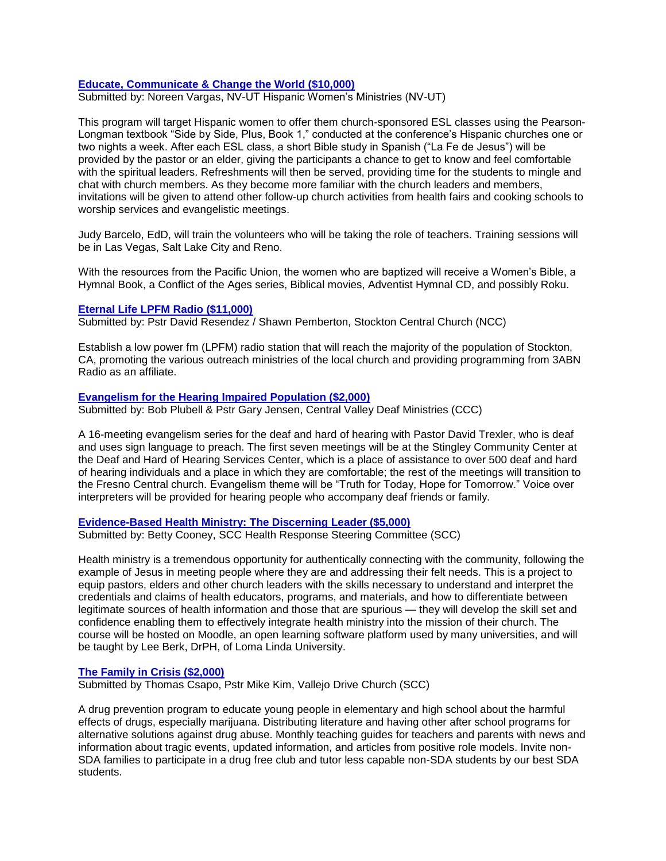# **Educate, Communicate & Change the World (\$10,000)**

Submitted by: Noreen Vargas, NV-UT Hispanic Women's Ministries (NV-UT)

This program will target Hispanic women to offer them church-sponsored ESL classes using the Pearson-Longman textbook "Side by Side, Plus, Book 1," conducted at the conference's Hispanic churches one or two nights a week. After each ESL class, a short Bible study in Spanish ("La Fe de Jesus") will be provided by the pastor or an elder, giving the participants a chance to get to know and feel comfortable with the spiritual leaders. Refreshments will then be served, providing time for the students to mingle and chat with church members. As they become more familiar with the church leaders and members, invitations will be given to attend other follow-up church activities from health fairs and cooking schools to worship services and evangelistic meetings.

Judy Barcelo, EdD, will train the volunteers who will be taking the role of teachers. Training sessions will be in Las Vegas, Salt Lake City and Reno.

With the resources from the Pacific Union, the women who are baptized will receive a Women's Bible, a Hymnal Book, a Conflict of the Ages series, Biblical movies, Adventist Hymnal CD, and possibly Roku.

### **Eternal Life LPFM Radio (\$11,000)**

Submitted by: Pstr David Resendez / Shawn Pemberton, Stockton Central Church (NCC)

Establish a low power fm (LPFM) radio station that will reach the majority of the population of Stockton, CA, promoting the various outreach ministries of the local church and providing programming from 3ABN Radio as an affiliate.

### **Evangelism for the Hearing Impaired Population (\$2,000)**

Submitted by: Bob Plubell & Pstr Gary Jensen, Central Valley Deaf Ministries (CCC)

A 16-meeting evangelism series for the deaf and hard of hearing with Pastor David Trexler, who is deaf and uses sign language to preach. The first seven meetings will be at the Stingley Community Center at the Deaf and Hard of Hearing Services Center, which is a place of assistance to over 500 deaf and hard of hearing individuals and a place in which they are comfortable; the rest of the meetings will transition to the Fresno Central church. Evangelism theme will be "Truth for Today, Hope for Tomorrow." Voice over interpreters will be provided for hearing people who accompany deaf friends or family.

### **Evidence-Based Health Ministry: The Discerning Leader (\$5,000)**

Submitted by: Betty Cooney, SCC Health Response Steering Committee (SCC)

Health ministry is a tremendous opportunity for authentically connecting with the community, following the example of Jesus in meeting people where they are and addressing their felt needs. This is a project to equip pastors, elders and other church leaders with the skills necessary to understand and interpret the credentials and claims of health educators, programs, and materials, and how to differentiate between legitimate sources of health information and those that are spurious — they will develop the skill set and confidence enabling them to effectively integrate health ministry into the mission of their church. The course will be hosted on Moodle, an open learning software platform used by many universities, and will be taught by Lee Berk, DrPH, of Loma Linda University.

# **The Family in Crisis (\$2,000)**

Submitted by Thomas Csapo, Pstr Mike Kim, Vallejo Drive Church (SCC)

A drug prevention program to educate young people in elementary and high school about the harmful effects of drugs, especially marijuana. Distributing literature and having other after school programs for alternative solutions against drug abuse. Monthly teaching guides for teachers and parents with news and information about tragic events, updated information, and articles from positive role models. Invite non-SDA families to participate in a drug free club and tutor less capable non-SDA students by our best SDA students.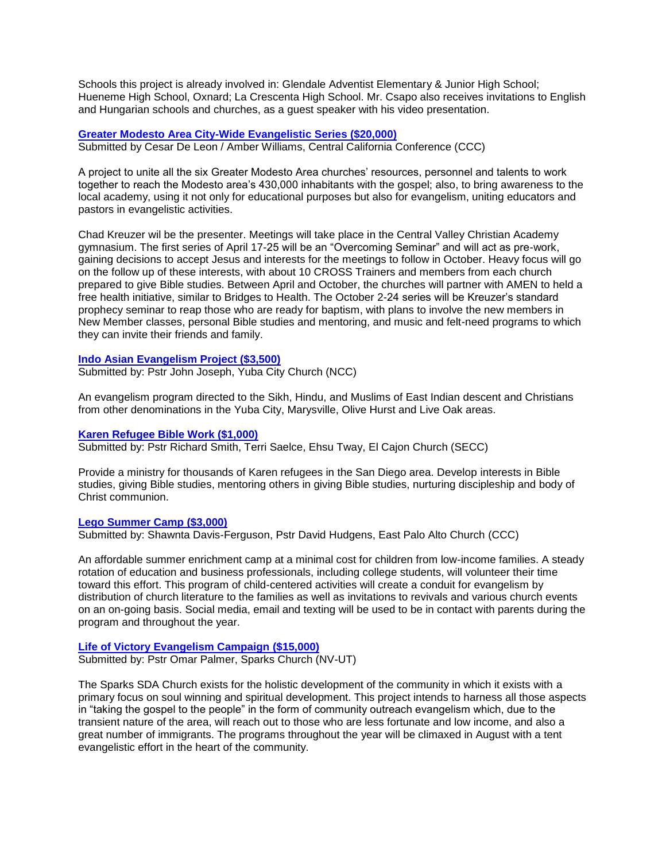Schools this project is already involved in: Glendale Adventist Elementary & Junior High School; Hueneme High School, Oxnard; La Crescenta High School. Mr. Csapo also receives invitations to English and Hungarian schools and churches, as a guest speaker with his video presentation.

# **Greater Modesto Area City-Wide Evangelistic Series (\$20,000)**

Submitted by Cesar De Leon / Amber Williams, Central California Conference (CCC)

A project to unite all the six Greater Modesto Area churches' resources, personnel and talents to work together to reach the Modesto area's 430,000 inhabitants with the gospel; also, to bring awareness to the local academy, using it not only for educational purposes but also for evangelism, uniting educators and pastors in evangelistic activities.

Chad Kreuzer wil be the presenter. Meetings will take place in the Central Valley Christian Academy gymnasium. The first series of April 17-25 will be an "Overcoming Seminar" and will act as pre-work, gaining decisions to accept Jesus and interests for the meetings to follow in October. Heavy focus will go on the follow up of these interests, with about 10 CROSS Trainers and members from each church prepared to give Bible studies. Between April and October, the churches will partner with AMEN to held a free health initiative, similar to Bridges to Health. The October 2-24 series will be Kreuzer's standard prophecy seminar to reap those who are ready for baptism, with plans to involve the new members in New Member classes, personal Bible studies and mentoring, and music and felt-need programs to which they can invite their friends and family.

### **Indo Asian Evangelism Project (\$3,500)**

Submitted by: Pstr John Joseph, Yuba City Church (NCC)

An evangelism program directed to the Sikh, Hindu, and Muslims of East Indian descent and Christians from other denominations in the Yuba City, Marysville, Olive Hurst and Live Oak areas.

### **Karen Refugee Bible Work (\$1,000)**

Submitted by: Pstr Richard Smith, Terri Saelce, Ehsu Tway, El Cajon Church (SECC)

Provide a ministry for thousands of Karen refugees in the San Diego area. Develop interests in Bible studies, giving Bible studies, mentoring others in giving Bible studies, nurturing discipleship and body of Christ communion.

# **Lego Summer Camp (\$3,000)**

Submitted by: Shawnta Davis-Ferguson, Pstr David Hudgens, East Palo Alto Church (CCC)

An affordable summer enrichment camp at a minimal cost for children from low-income families. A steady rotation of education and business professionals, including college students, will volunteer their time toward this effort. This program of child-centered activities will create a conduit for evangelism by distribution of church literature to the families as well as invitations to revivals and various church events on an on-going basis. Social media, email and texting will be used to be in contact with parents during the program and throughout the year.

# **Life of Victory Evangelism Campaign (\$15,000)**

Submitted by: Pstr Omar Palmer, Sparks Church (NV-UT)

The Sparks SDA Church exists for the holistic development of the community in which it exists with a primary focus on soul winning and spiritual development. This project intends to harness all those aspects in "taking the gospel to the people" in the form of community outreach evangelism which, due to the transient nature of the area, will reach out to those who are less fortunate and low income, and also a great number of immigrants. The programs throughout the year will be climaxed in August with a tent evangelistic effort in the heart of the community.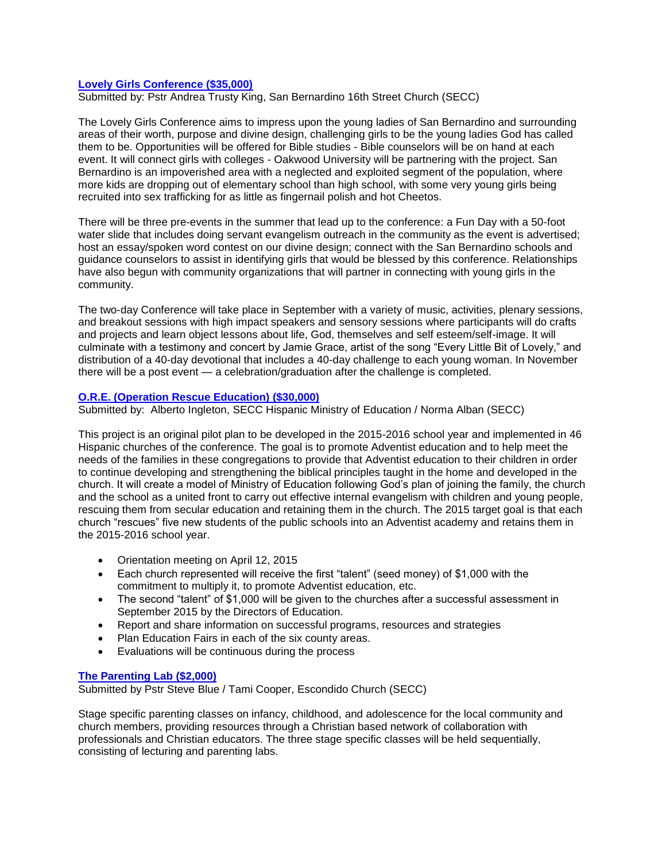# **Lovely Girls Conference (\$35,000)**

Submitted by: Pstr Andrea Trusty King, San Bernardino 16th Street Church (SECC)

The Lovely Girls Conference aims to impress upon the young ladies of San Bernardino and surrounding areas of their worth, purpose and divine design, challenging girls to be the young ladies God has called them to be. Opportunities will be offered for Bible studies - Bible counselors will be on hand at each event. It will connect girls with colleges - Oakwood University will be partnering with the project. San Bernardino is an impoverished area with a neglected and exploited segment of the population, where more kids are dropping out of elementary school than high school, with some very young girls being recruited into sex trafficking for as little as fingernail polish and hot Cheetos.

There will be three pre-events in the summer that lead up to the conference: a Fun Day with a 50-foot water slide that includes doing servant evangelism outreach in the community as the event is advertised; host an essay/spoken word contest on our divine design; connect with the San Bernardino schools and guidance counselors to assist in identifying girls that would be blessed by this conference. Relationships have also begun with community organizations that will partner in connecting with young girls in the community.

The two-day Conference will take place in September with a variety of music, activities, plenary sessions, and breakout sessions with high impact speakers and sensory sessions where participants will do crafts and projects and learn object lessons about life, God, themselves and self esteem/self-image. It will culminate with a testimony and concert by Jamie Grace, artist of the song "Every Little Bit of Lovely," and distribution of a 40-day devotional that includes a 40-day challenge to each young woman. In November there will be a post event — a celebration/graduation after the challenge is completed.

# **O.R.E. (Operation Rescue Education) (\$30,000)**

Submitted by: Alberto Ingleton, SECC Hispanic Ministry of Education / Norma Alban (SECC)

This project is an original pilot plan to be developed in the 2015-2016 school year and implemented in 46 Hispanic churches of the conference. The goal is to promote Adventist education and to help meet the needs of the families in these congregations to provide that Adventist education to their children in order to continue developing and strengthening the biblical principles taught in the home and developed in the church. It will create a model of Ministry of Education following God's plan of joining the family, the church and the school as a united front to carry out effective internal evangelism with children and young people, rescuing them from secular education and retaining them in the church. The 2015 target goal is that each church "rescues" five new students of the public schools into an Adventist academy and retains them in the 2015-2016 school year.

- Orientation meeting on April 12, 2015
- Each church represented will receive the first "talent" (seed money) of \$1,000 with the commitment to multiply it, to promote Adventist education, etc.
- The second "talent" of \$1,000 will be given to the churches after a successful assessment in September 2015 by the Directors of Education.
- Report and share information on successful programs, resources and strategies
- Plan Education Fairs in each of the six county areas.
- Evaluations will be continuous during the process

# **The Parenting Lab (\$2,000)**

Submitted by Pstr Steve Blue / Tami Cooper, Escondido Church (SECC)

Stage specific parenting classes on infancy, childhood, and adolescence for the local community and church members, providing resources through a Christian based network of collaboration with professionals and Christian educators. The three stage specific classes will be held sequentially, consisting of lecturing and parenting labs.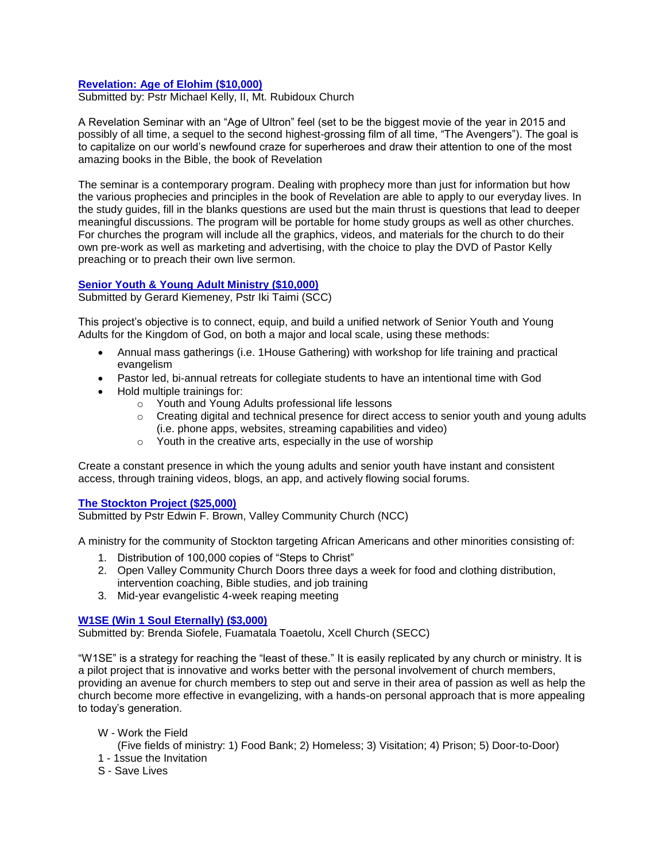# **Revelation: Age of Elohim (\$10,000)**

Submitted by: Pstr Michael Kelly, II, Mt. Rubidoux Church

A Revelation Seminar with an "Age of Ultron" feel (set to be the biggest movie of the year in 2015 and possibly of all time, a sequel to the second highest-grossing film of all time, "The Avengers"). The goal is to capitalize on our world's newfound craze for superheroes and draw their attention to one of the most amazing books in the Bible, the book of Revelation

The seminar is a contemporary program. Dealing with prophecy more than just for information but how the various prophecies and principles in the book of Revelation are able to apply to our everyday lives. In the study guides, fill in the blanks questions are used but the main thrust is questions that lead to deeper meaningful discussions. The program will be portable for home study groups as well as other churches. For churches the program will include all the graphics, videos, and materials for the church to do their own pre-work as well as marketing and advertising, with the choice to play the DVD of Pastor Kelly preaching or to preach their own live sermon.

# **Senior Youth & Young Adult Ministry (\$10,000)**

Submitted by Gerard Kiemeney, Pstr Iki Taimi (SCC)

This project's objective is to connect, equip, and build a unified network of Senior Youth and Young Adults for the Kingdom of God, on both a major and local scale, using these methods:

- Annual mass gatherings (i.e. 1House Gathering) with workshop for life training and practical evangelism
- Pastor led, bi-annual retreats for collegiate students to have an intentional time with God
- Hold multiple trainings for:
	- o Youth and Young Adults professional life lessons
	- $\circ$  Creating digital and technical presence for direct access to senior youth and young adults (i.e. phone apps, websites, streaming capabilities and video)
	- o Youth in the creative arts, especially in the use of worship

Create a constant presence in which the young adults and senior youth have instant and consistent access, through training videos, blogs, an app, and actively flowing social forums.

# **The Stockton Project (\$25,000)**

Submitted by Pstr Edwin F. Brown, Valley Community Church (NCC)

A ministry for the community of Stockton targeting African Americans and other minorities consisting of:

- 1. Distribution of 100,000 copies of "Steps to Christ"
- 2. Open Valley Community Church Doors three days a week for food and clothing distribution, intervention coaching, Bible studies, and job training
- 3. Mid-year evangelistic 4-week reaping meeting

# **W1SE (Win 1 Soul Eternally) (\$3,000)**

Submitted by: Brenda Siofele, Fuamatala Toaetolu, Xcell Church (SECC)

"W1SE" is a strategy for reaching the "least of these." It is easily replicated by any church or ministry. It is a pilot project that is innovative and works better with the personal involvement of church members, providing an avenue for church members to step out and serve in their area of passion as well as help the church become more effective in evangelizing, with a hands-on personal approach that is more appealing to today's generation.

W - Work the Field

(Five fields of ministry: 1) Food Bank; 2) Homeless; 3) Visitation; 4) Prison; 5) Door-to-Door)

- 1 1ssue the Invitation
- S Save Lives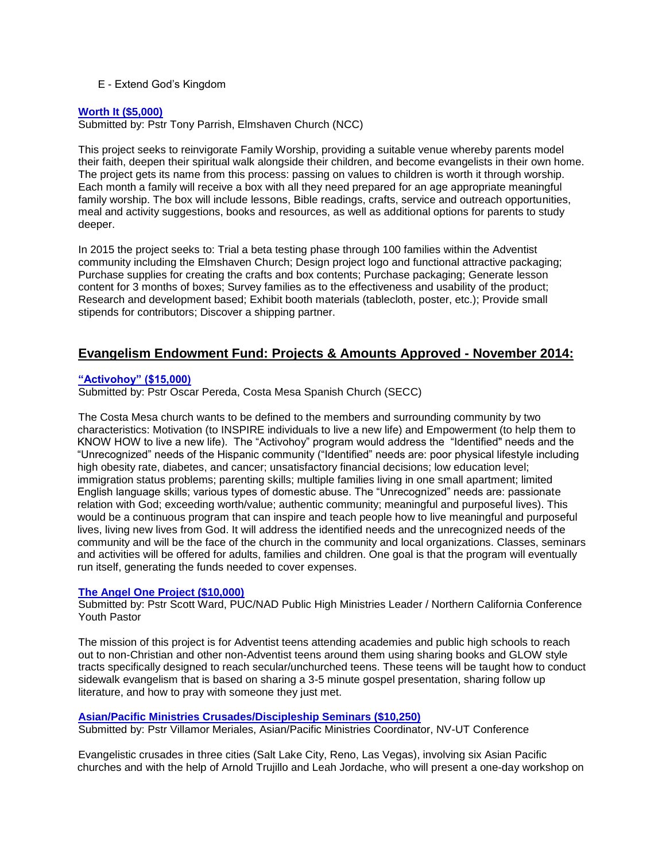# E - Extend God's Kingdom

### **Worth It (\$5,000)**

Submitted by: Pstr Tony Parrish, Elmshaven Church (NCC)

This project seeks to reinvigorate Family Worship, providing a suitable venue whereby parents model their faith, deepen their spiritual walk alongside their children, and become evangelists in their own home. The project gets its name from this process: passing on values to children is worth it through worship. Each month a family will receive a box with all they need prepared for an age appropriate meaningful family worship. The box will include lessons, Bible readings, crafts, service and outreach opportunities, meal and activity suggestions, books and resources, as well as additional options for parents to study deeper.

In 2015 the project seeks to: Trial a beta testing phase through 100 families within the Adventist community including the Elmshaven Church; Design project logo and functional attractive packaging; Purchase supplies for creating the crafts and box contents; Purchase packaging; Generate lesson content for 3 months of boxes; Survey families as to the effectiveness and usability of the product; Research and development based; Exhibit booth materials (tablecloth, poster, etc.); Provide small stipends for contributors; Discover a shipping partner.

# **Evangelism Endowment Fund: Projects & Amounts Approved - November 2014:**

### **"Activohoy" (\$15,000)**

Submitted by: Pstr Oscar Pereda, Costa Mesa Spanish Church (SECC)

The Costa Mesa church wants to be defined to the members and surrounding community by two characteristics: Motivation (to INSPIRE individuals to live a new life) and Empowerment (to help them to KNOW HOW to live a new life). The "Activohoy" program would address the "Identified" needs and the "Unrecognized" needs of the Hispanic community ("Identified" needs are: poor physical lifestyle including high obesity rate, diabetes, and cancer; unsatisfactory financial decisions; low education level; immigration status problems; parenting skills; multiple families living in one small apartment; limited English language skills; various types of domestic abuse. The "Unrecognized" needs are: passionate relation with God; exceeding worth/value; authentic community; meaningful and purposeful lives). This would be a continuous program that can inspire and teach people how to live meaningful and purposeful lives, living new lives from God. It will address the identified needs and the unrecognized needs of the community and will be the face of the church in the community and local organizations. Classes, seminars and activities will be offered for adults, families and children. One goal is that the program will eventually run itself, generating the funds needed to cover expenses.

### **The Angel One Project (\$10,000)**

Submitted by: Pstr Scott Ward, PUC/NAD Public High Ministries Leader / Northern California Conference Youth Pastor

The mission of this project is for Adventist teens attending academies and public high schools to reach out to non-Christian and other non-Adventist teens around them using sharing books and GLOW style tracts specifically designed to reach secular/unchurched teens. These teens will be taught how to conduct sidewalk evangelism that is based on sharing a 3-5 minute gospel presentation, sharing follow up literature, and how to pray with someone they just met.

# **Asian/Pacific Ministries Crusades/Discipleship Seminars (\$10,250)**

Submitted by: Pstr Villamor Meriales, Asian/Pacific Ministries Coordinator, NV-UT Conference

Evangelistic crusades in three cities (Salt Lake City, Reno, Las Vegas), involving six Asian Pacific churches and with the help of Arnold Trujillo and Leah Jordache, who will present a one-day workshop on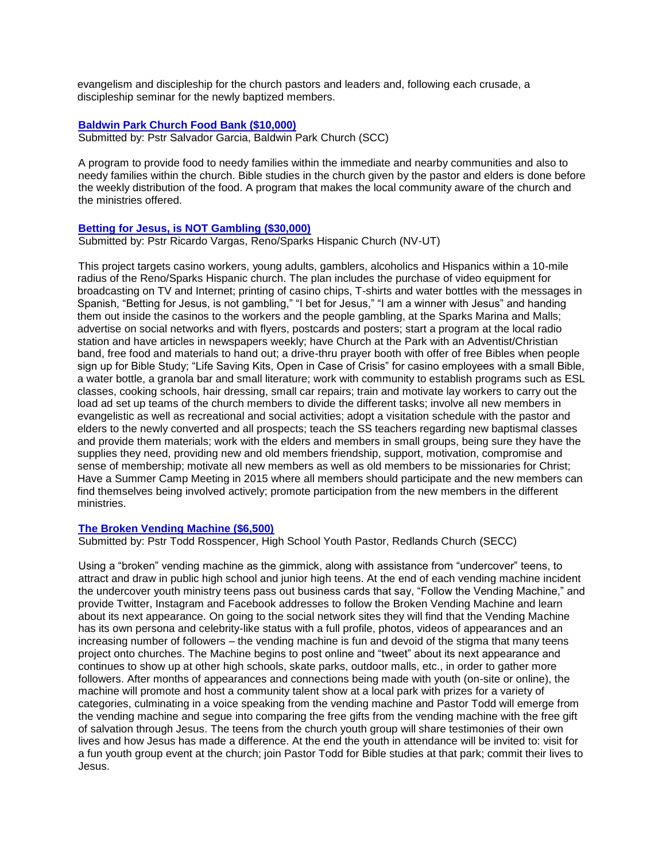evangelism and discipleship for the church pastors and leaders and, following each crusade, a discipleship seminar for the newly baptized members.

# **Baldwin Park Church Food Bank (\$10,000)**

Submitted by: Pstr Salvador Garcia, Baldwin Park Church (SCC)

A program to provide food to needy families within the immediate and nearby communities and also to needy families within the church. Bible studies in the church given by the pastor and elders is done before the weekly distribution of the food. A program that makes the local community aware of the church and the ministries offered.

# **Betting for Jesus, is NOT Gambling (\$30,000)**

Submitted by: Pstr Ricardo Vargas, Reno/Sparks Hispanic Church (NV-UT)

This project targets casino workers, young adults, gamblers, alcoholics and Hispanics within a 10-mile radius of the Reno/Sparks Hispanic church. The plan includes the purchase of video equipment for broadcasting on TV and Internet; printing of casino chips, T-shirts and water bottles with the messages in Spanish, "Betting for Jesus, is not gambling," "I bet for Jesus," "I am a winner with Jesus" and handing them out inside the casinos to the workers and the people gambling, at the Sparks Marina and Malls; advertise on social networks and with flyers, postcards and posters; start a program at the local radio station and have articles in newspapers weekly; have Church at the Park with an Adventist/Christian band, free food and materials to hand out; a drive-thru prayer booth with offer of free Bibles when people sign up for Bible Study; "Life Saving Kits, Open in Case of Crisis" for casino employees with a small Bible, a water bottle, a granola bar and small literature; work with community to establish programs such as ESL classes, cooking schools, hair dressing, small car repairs; train and motivate lay workers to carry out the load ad set up teams of the church members to divide the different tasks; involve all new members in evangelistic as well as recreational and social activities; adopt a visitation schedule with the pastor and elders to the newly converted and all prospects; teach the SS teachers regarding new baptismal classes and provide them materials; work with the elders and members in small groups, being sure they have the supplies they need, providing new and old members friendship, support, motivation, compromise and sense of membership; motivate all new members as well as old members to be missionaries for Christ; Have a Summer Camp Meeting in 2015 where all members should participate and the new members can find themselves being involved actively; promote participation from the new members in the different ministries.

# **The Broken Vending Machine (\$6,500)**

Submitted by: Pstr Todd Rosspencer, High School Youth Pastor, Redlands Church (SECC)

Using a "broken" vending machine as the gimmick, along with assistance from "undercover" teens, to attract and draw in public high school and junior high teens. At the end of each vending machine incident the undercover youth ministry teens pass out business cards that say, "Follow the Vending Machine," and provide Twitter, Instagram and Facebook addresses to follow the Broken Vending Machine and learn about its next appearance. On going to the social network sites they will find that the Vending Machine has its own persona and celebrity-like status with a full profile, photos, videos of appearances and an increasing number of followers – the vending machine is fun and devoid of the stigma that many teens project onto churches. The Machine begins to post online and "tweet" about its next appearance and continues to show up at other high schools, skate parks, outdoor malls, etc., in order to gather more followers. After months of appearances and connections being made with youth (on-site or online), the machine will promote and host a community talent show at a local park with prizes for a variety of categories, culminating in a voice speaking from the vending machine and Pastor Todd will emerge from the vending machine and segue into comparing the free gifts from the vending machine with the free gift of salvation through Jesus. The teens from the church youth group will share testimonies of their own lives and how Jesus has made a difference. At the end the youth in attendance will be invited to: visit for a fun youth group event at the church; join Pastor Todd for Bible studies at that park; commit their lives to Jesus.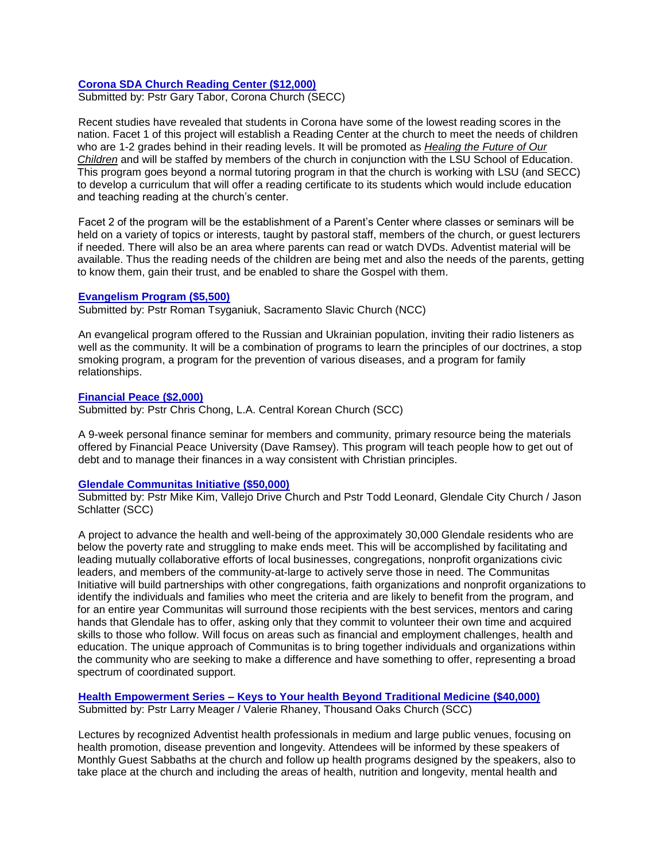# **Corona SDA Church Reading Center (\$12,000)**

Submitted by: Pstr Gary Tabor, Corona Church (SECC)

Recent studies have revealed that students in Corona have some of the lowest reading scores in the nation. Facet 1 of this project will establish a Reading Center at the church to meet the needs of children who are 1-2 grades behind in their reading levels. It will be promoted as *Healing the Future of Our Children* and will be staffed by members of the church in conjunction with the LSU School of Education. This program goes beyond a normal tutoring program in that the church is working with LSU (and SECC) to develop a curriculum that will offer a reading certificate to its students which would include education and teaching reading at the church's center.

Facet 2 of the program will be the establishment of a Parent's Center where classes or seminars will be held on a variety of topics or interests, taught by pastoral staff, members of the church, or guest lecturers if needed. There will also be an area where parents can read or watch DVDs. Adventist material will be available. Thus the reading needs of the children are being met and also the needs of the parents, getting to know them, gain their trust, and be enabled to share the Gospel with them.

### **Evangelism Program (\$5,500)**

Submitted by: Pstr Roman Tsyganiuk, Sacramento Slavic Church (NCC)

An evangelical program offered to the Russian and Ukrainian population, inviting their radio listeners as well as the community. It will be a combination of programs to learn the principles of our doctrines, a stop smoking program, a program for the prevention of various diseases, and a program for family relationships.

# **Financial Peace (\$2,000)**

Submitted by: Pstr Chris Chong, L.A. Central Korean Church (SCC)

A 9-week personal finance seminar for members and community, primary resource being the materials offered by Financial Peace University (Dave Ramsey). This program will teach people how to get out of debt and to manage their finances in a way consistent with Christian principles.

# **Glendale Communitas Initiative (\$50,000)**

Submitted by: Pstr Mike Kim, Vallejo Drive Church and Pstr Todd Leonard, Glendale City Church / Jason Schlatter (SCC)

A project to advance the health and well-being of the approximately 30,000 Glendale residents who are below the poverty rate and struggling to make ends meet. This will be accomplished by facilitating and leading mutually collaborative efforts of local businesses, congregations, nonprofit organizations civic leaders, and members of the community-at-large to actively serve those in need. The Communitas Initiative will build partnerships with other congregations, faith organizations and nonprofit organizations to identify the individuals and families who meet the criteria and are likely to benefit from the program, and for an entire year Communitas will surround those recipients with the best services, mentors and caring hands that Glendale has to offer, asking only that they commit to volunteer their own time and acquired skills to those who follow. Will focus on areas such as financial and employment challenges, health and education. The unique approach of Communitas is to bring together individuals and organizations within the community who are seeking to make a difference and have something to offer, representing a broad spectrum of coordinated support.

**Health Empowerment Series – Keys to Your health Beyond Traditional Medicine (\$40,000)** Submitted by: Pstr Larry Meager / Valerie Rhaney, Thousand Oaks Church (SCC)

Lectures by recognized Adventist health professionals in medium and large public venues, focusing on health promotion, disease prevention and longevity. Attendees will be informed by these speakers of Monthly Guest Sabbaths at the church and follow up health programs designed by the speakers, also to take place at the church and including the areas of health, nutrition and longevity, mental health and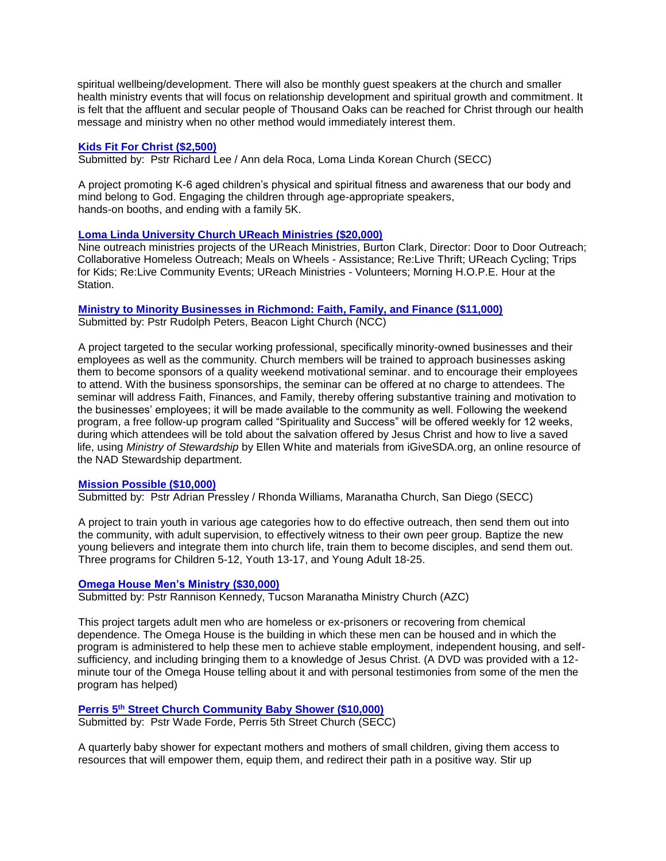spiritual wellbeing/development. There will also be monthly guest speakers at the church and smaller health ministry events that will focus on relationship development and spiritual growth and commitment. It is felt that the affluent and secular people of Thousand Oaks can be reached for Christ through our health message and ministry when no other method would immediately interest them.

### **Kids Fit For Christ (\$2,500)**

Submitted by: Pstr Richard Lee / Ann dela Roca, Loma Linda Korean Church (SECC)

A project promoting K-6 aged children's physical and spiritual fitness and awareness that our body and mind belong to God. Engaging the children through age-appropriate speakers, hands-on booths, and ending with a family 5K.

# **Loma Linda University Church UReach Ministries (\$20,000)**

Nine outreach ministries projects of the UReach Ministries, Burton Clark, Director: Door to Door Outreach; Collaborative Homeless Outreach; Meals on Wheels - Assistance; Re:Live Thrift; UReach Cycling; Trips for Kids; Re:Live Community Events; UReach Ministries - Volunteers; Morning H.O.P.E. Hour at the Station.

**Ministry to Minority Businesses in Richmond: Faith, Family, and Finance (\$11,000)** Submitted by: Pstr Rudolph Peters, Beacon Light Church (NCC)

A project targeted to the secular working professional, specifically minority-owned businesses and their employees as well as the community. Church members will be trained to approach businesses asking them to become sponsors of a quality weekend motivational seminar. and to encourage their employees to attend. With the business sponsorships, the seminar can be offered at no charge to attendees. The seminar will address Faith, Finances, and Family, thereby offering substantive training and motivation to the businesses' employees; it will be made available to the community as well. Following the weekend program, a free follow-up program called "Spirituality and Success" will be offered weekly for 12 weeks, during which attendees will be told about the salvation offered by Jesus Christ and how to live a saved life, using *Ministry of Stewardship* by Ellen White and materials from iGiveSDA.org, an online resource of the NAD Stewardship department.

### **Mission Possible (\$10,000)**

Submitted by: Pstr Adrian Pressley / Rhonda Williams, Maranatha Church, San Diego (SECC)

A project to train youth in various age categories how to do effective outreach, then send them out into the community, with adult supervision, to effectively witness to their own peer group. Baptize the new young believers and integrate them into church life, train them to become disciples, and send them out. Three programs for Children 5-12, Youth 13-17, and Young Adult 18-25.

### **Omega House Men's Ministry (\$30,000)**

Submitted by: Pstr Rannison Kennedy, Tucson Maranatha Ministry Church (AZC)

This project targets adult men who are homeless or ex-prisoners or recovering from chemical dependence. The Omega House is the building in which these men can be housed and in which the program is administered to help these men to achieve stable employment, independent housing, and selfsufficiency, and including bringing them to a knowledge of Jesus Christ. (A DVD was provided with a 12 minute tour of the Omega House telling about it and with personal testimonies from some of the men the program has helped)

# **Perris 5th Street Church Community Baby Shower (\$10,000)**

Submitted by: Pstr Wade Forde, Perris 5th Street Church (SECC)

A quarterly baby shower for expectant mothers and mothers of small children, giving them access to resources that will empower them, equip them, and redirect their path in a positive way. Stir up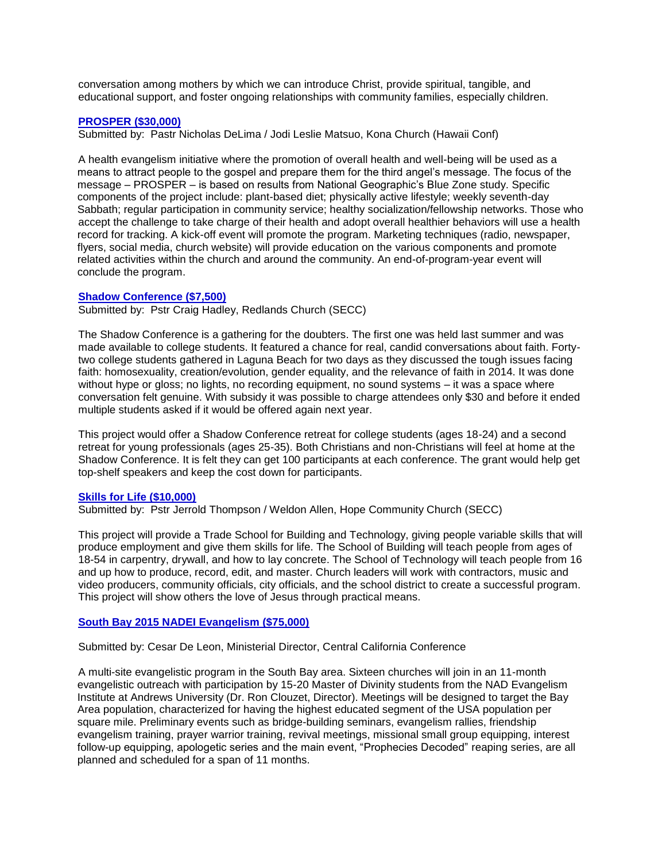conversation among mothers by which we can introduce Christ, provide spiritual, tangible, and educational support, and foster ongoing relationships with community families, especially children.

### **PROSPER (\$30,000)**

Submitted by: Pastr Nicholas DeLima / Jodi Leslie Matsuo, Kona Church (Hawaii Conf)

A health evangelism initiative where the promotion of overall health and well-being will be used as a means to attract people to the gospel and prepare them for the third angel's message. The focus of the message – PROSPER – is based on results from National Geographic's Blue Zone study. Specific components of the project include: plant-based diet; physically active lifestyle; weekly seventh-day Sabbath; regular participation in community service; healthy socialization/fellowship networks. Those who accept the challenge to take charge of their health and adopt overall healthier behaviors will use a health record for tracking. A kick-off event will promote the program. Marketing techniques (radio, newspaper, flyers, social media, church website) will provide education on the various components and promote related activities within the church and around the community. An end-of-program-year event will conclude the program.

### **Shadow Conference (\$7,500)**

Submitted by: Pstr Craig Hadley, Redlands Church (SECC)

The Shadow Conference is a gathering for the doubters. The first one was held last summer and was made available to college students. It featured a chance for real, candid conversations about faith. Fortytwo college students gathered in Laguna Beach for two days as they discussed the tough issues facing faith: homosexuality, creation/evolution, gender equality, and the relevance of faith in 2014. It was done without hype or gloss; no lights, no recording equipment, no sound systems – it was a space where conversation felt genuine. With subsidy it was possible to charge attendees only \$30 and before it ended multiple students asked if it would be offered again next year.

This project would offer a Shadow Conference retreat for college students (ages 18-24) and a second retreat for young professionals (ages 25-35). Both Christians and non-Christians will feel at home at the Shadow Conference. It is felt they can get 100 participants at each conference. The grant would help get top-shelf speakers and keep the cost down for participants.

### **Skills for Life (\$10,000)**

Submitted by: Pstr Jerrold Thompson / Weldon Allen, Hope Community Church (SECC)

This project will provide a Trade School for Building and Technology, giving people variable skills that will produce employment and give them skills for life. The School of Building will teach people from ages of 18-54 in carpentry, drywall, and how to lay concrete. The School of Technology will teach people from 16 and up how to produce, record, edit, and master. Church leaders will work with contractors, music and video producers, community officials, city officials, and the school district to create a successful program. This project will show others the love of Jesus through practical means.

# **South Bay 2015 NADEI Evangelism (\$75,000)**

Submitted by: Cesar De Leon, Ministerial Director, Central California Conference

A multi-site evangelistic program in the South Bay area. Sixteen churches will join in an 11-month evangelistic outreach with participation by 15-20 Master of Divinity students from the NAD Evangelism Institute at Andrews University (Dr. Ron Clouzet, Director). Meetings will be designed to target the Bay Area population, characterized for having the highest educated segment of the USA population per square mile. Preliminary events such as bridge-building seminars, evangelism rallies, friendship evangelism training, prayer warrior training, revival meetings, missional small group equipping, interest follow-up equipping, apologetic series and the main event, "Prophecies Decoded" reaping series, are all planned and scheduled for a span of 11 months.